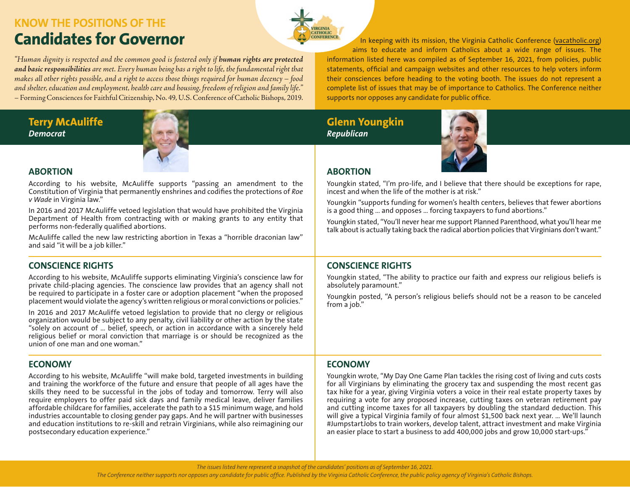# **KNOW THE POSITIONS OF THE**

*"Human dignity is respected and the common good is fostered only if human rights are protected and basic responsibilities are met. Every human being has a right to life, the fundamental right that makes all other rights possible, and a right to access those things required for human decency – food and shelter, education and employment, health care and housing, freedom of religion and family life."*  – Forming Consciences for Faithful Citizenship, No. 49, U.S. Conference of Catholic Bishops, 2019.

**Terry McAuliffe** *Democrat*



# **ABORTION**

According to his website, McAuliffe supports "passing an amendment to the Constitution of Virginia that permanently enshrines and codifies the protections of *Roe v Wade* in Virginia law."

In 2016 and 2017 McAuliffe vetoed legislation that would have prohibited the Virginia Department of Health from contracting with or making grants to any entity that performs non-federally qualified abortions.

McAuliffe called the new law restricting abortion in Texas a "horrible draconian law" and said "it will be a job killer."

# **CONSCIENCE RIGHTS**

According to his website, McAuliffe supports eliminating Virginia's conscience law for private child-placing agencies. The conscience law provides that an agency shall not be required to participate in a foster care or adoption placement "when the proposed placement would violate the agency's written religious or moral convictions or policies."

In 2016 and 2017 McAuliffe vetoed legislation to provide that no clergy or religious organization would be subject to any penalty, civil liability or other action by the state "solely on account of … belief, speech, or action in accordance with a sincerely held religious belief or moral conviction that marriage is or should be recognized as the union of one man and one woman."

# **ECONOMY**

According to his website, McAuliffe "will make bold, targeted investments in building and training the workforce of the future and ensure that people of all ages have the skills they need to be successful in the jobs of today and tomorrow. Terry will also require employers to offer paid sick days and family medical leave, deliver families affordable childcare for families, accelerate the path to a \$15 minimum wage, and hold industries accountable to closing gender pay gaps. And he will partner with businesses and education institutions to re-skill and retrain Virginians, while also reimagining our postsecondary education experience."

**Candidates for Governor In keeping with its mission, the Virginia Catholic Conference [\(vacatholic.org](http://www.vacatholic.org))** aims to educate and inform Catholics about a wide range of issues. The information listed here was compiled as of September 16, 2021, from policies, public statements, official and campaign websites and other resources to help voters inform their consciences before heading to the voting booth. The issues do not represent a complete list of issues that may be of importance to Catholics. The Conference neither supports nor opposes any candidate for public office.

# **Glenn Youngkin** *Republican*



# **ABORTION**

Youngkin stated, "I'm pro-life, and I believe that there should be exceptions for rape, incest and when the life of the mother is at risk."

Youngkin "supports funding for women's health centers, believes that fewer abortions is a good thing … and opposes … forcing taxpayers to fund abortions."

Youngkin stated, "You'll never hear me support Planned Parenthood, what you'll hear me talk about is actually taking back the radical abortion policies that Virginians don't want."

# **CONSCIENCE RIGHTS**

Youngkin stated, "The ability to practice our faith and express our religious beliefs is absolutely paramount."

Youngkin posted, "A person's religious beliefs should not be a reason to be canceled from a job."

# **ECONOMY**

Youngkin wrote, "My Day One Game Plan tackles the rising cost of living and cuts costs for all Virginians by eliminating the grocery tax and suspending the most recent gas tax hike for a year, giving Virginia voters a voice in their real estate property taxes by requiring a vote for any proposed increase, cutting taxes on veteran retirement pay and cutting income taxes for all taxpayers by doubling the standard deduction. This will give a typical Virginia family of four almost \$1,500 back next year. … We'll launch #JumpstartJobs to train workers, develop talent, attract investment and make Virginia an easier place to start a business to add 400,000 jobs and grow 10,000 start-ups."

*The issues listed here represent a snapshot of the candidates' positions as of September 16, 2021.*

*The Conference neither supports nor opposes any candidate for public office. Published by the Virginia Catholic Conference, the public policy agency of Virginia's Catholic Bishops.*